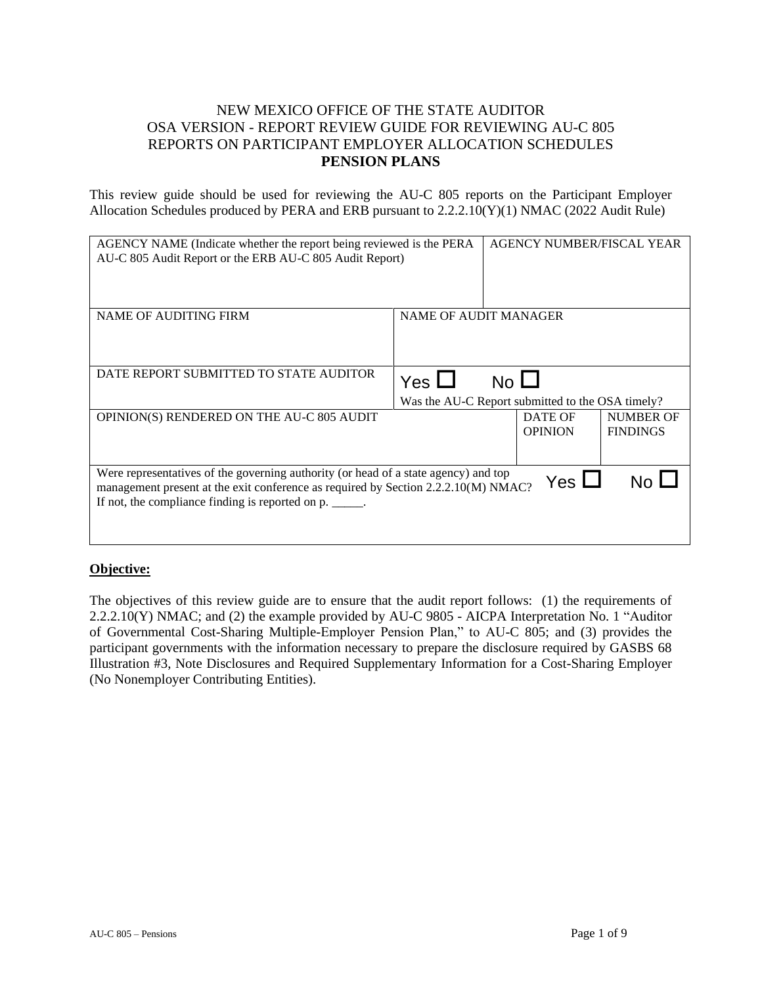## NEW MEXICO OFFICE OF THE STATE AUDITOR OSA VERSION - REPORT REVIEW GUIDE FOR REVIEWING AU-C 805 REPORTS ON PARTICIPANT EMPLOYER ALLOCATION SCHEDULES **PENSION PLANS**

This review guide should be used for reviewing the AU-C 805 reports on the Participant Employer Allocation Schedules produced by PERA and ERB pursuant to 2.2.2.10(Y)(1) NMAC (2022 Audit Rule)

| AGENCY NAME (Indicate whether the report being reviewed is the PERA<br>AU-C 805 Audit Report or the ERB AU-C 805 Audit Report)                                                                                                |                       | AGENCY NUMBER/FISCAL YEAR                                       |                                     |
|-------------------------------------------------------------------------------------------------------------------------------------------------------------------------------------------------------------------------------|-----------------------|-----------------------------------------------------------------|-------------------------------------|
| NAME OF AUDITING FIRM                                                                                                                                                                                                         | NAME OF AUDIT MANAGER |                                                                 |                                     |
| DATE REPORT SUBMITTED TO STATE AUDITOR                                                                                                                                                                                        | Yes $\Box$            | $No$ $\Box$<br>Was the AU-C Report submitted to the OSA timely? |                                     |
| OPINION(S) RENDERED ON THE AU-C 805 AUDIT                                                                                                                                                                                     |                       | DATE OF<br><b>OPINION</b>                                       | <b>NUMBER OF</b><br><b>FINDINGS</b> |
| Were representatives of the governing authority (or head of a state agency) and top<br>management present at the exit conference as required by Section 2.2.2.10(M) NMAC?<br>If not, the compliance finding is reported on p. |                       | Yes $\Box$                                                      |                                     |

## **Objective:**

The objectives of this review guide are to ensure that the audit report follows: (1) the requirements of 2.2.2.10(Y) NMAC; and (2) the example provided by AU-C 9805 - AICPA Interpretation No. 1 "Auditor of Governmental Cost-Sharing Multiple-Employer Pension Plan," to AU-C 805; and (3) provides the participant governments with the information necessary to prepare the disclosure required by GASBS 68 Illustration #3, Note Disclosures and Required Supplementary Information for a Cost-Sharing Employer (No Nonemployer Contributing Entities).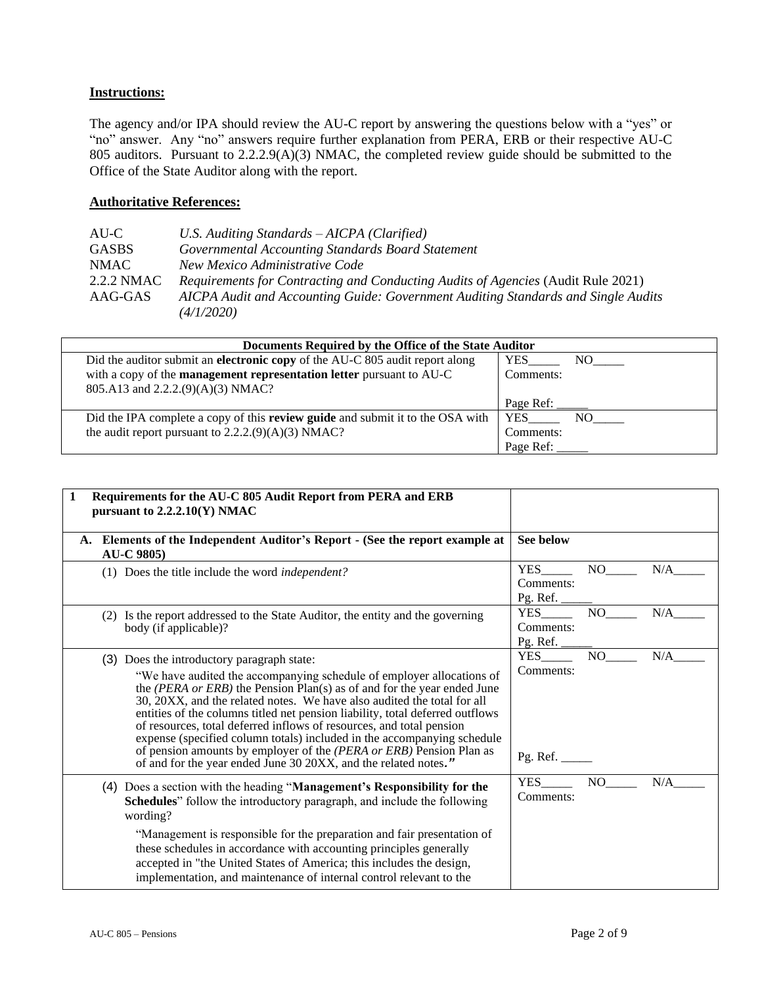## **Instructions:**

The agency and/or IPA should review the AU-C report by answering the questions below with a "yes" or "no" answer. Any "no" answers require further explanation from PERA, ERB or their respective AU-C 805 auditors. Pursuant to 2.2.2.9(A)(3) NMAC, the completed review guide should be submitted to the Office of the State Auditor along with the report.

## **Authoritative References:**

| U.S. Auditing Standards – AICPA (Clarified)                                                     |
|-------------------------------------------------------------------------------------------------|
| Governmental Accounting Standards Board Statement                                               |
| New Mexico Administrative Code                                                                  |
| Requirements for Contracting and Conducting Audits of Agencies (Audit Rule 2021)                |
| AICPA Audit and Accounting Guide: Government Auditing Standards and Single Audits<br>(4/1/2020) |
|                                                                                                 |

| Documents Required by the Office of the State Auditor                                 |                       |
|---------------------------------------------------------------------------------------|-----------------------|
| Did the auditor submit an electronic copy of the AU-C 805 audit report along          | <b>YES</b><br>NO DOM: |
| with a copy of the <b>management representation letter</b> pursuant to AU-C           | Comments:             |
| 805.A13 and 2.2.2.(9)(A)(3) NMAC?                                                     |                       |
|                                                                                       | Page Ref:             |
| Did the IPA complete a copy of this <b>review guide</b> and submit it to the OSA with | <b>YES</b><br>NO -    |
| the audit report pursuant to $2.2.2(9)(A)(3) NMAC?$                                   | Comments:             |
|                                                                                       | Page Ref:             |

| Requirements for the AU-C 805 Audit Report from PERA and ERB<br>1<br>pursuant to $2.2.2.10(Y) NMAC$                                                                                                                                                                                                                                                                                                                                                                                                                                                                                                                                                     |                                     |     |     |
|---------------------------------------------------------------------------------------------------------------------------------------------------------------------------------------------------------------------------------------------------------------------------------------------------------------------------------------------------------------------------------------------------------------------------------------------------------------------------------------------------------------------------------------------------------------------------------------------------------------------------------------------------------|-------------------------------------|-----|-----|
| A. Elements of the Independent Auditor's Report - (See the report example at<br><b>AU-C 9805)</b>                                                                                                                                                                                                                                                                                                                                                                                                                                                                                                                                                       | See below                           |     |     |
| (1) Does the title include the word <i>independent?</i>                                                                                                                                                                                                                                                                                                                                                                                                                                                                                                                                                                                                 | <b>YES</b><br>Comments:<br>Pg. Ref. | NO  | N/A |
| (2) Is the report addressed to the State Auditor, the entity and the governing<br>body (if applicable)?                                                                                                                                                                                                                                                                                                                                                                                                                                                                                                                                                 | <b>YES</b><br>Comments:<br>Pg. Ref. | NO  | N/A |
| (3) Does the introductory paragraph state:<br>"We have audited the accompanying schedule of employer allocations of<br>the (PERA or ERB) the Pension Plan(s) as of and for the year ended June<br>30, 20XX, and the related notes. We have also audited the total for all<br>entities of the columns titled net pension liability, total deferred outflows<br>of resources, total deferred inflows of resources, and total pension<br>expense (specified column totals) included in the accompanying schedule<br>of pension amounts by employer of the (PERA or ERB) Pension Plan as<br>of and for the year ended June 30 20XX, and the related notes." | <b>YES</b><br>Comments:<br>Pg. Ref. | NO  | N/A |
| (4) Does a section with the heading "Management's Responsibility for the<br><b>Schedules</b> " follow the introductory paragraph, and include the following<br>wording?<br>"Management is responsible for the preparation and fair presentation of<br>these schedules in accordance with accounting principles generally<br>accepted in "the United States of America; this includes the design,<br>implementation, and maintenance of internal control relevant to the                                                                                                                                                                                 | <b>YES</b><br>Comments:             | NO. | N/A |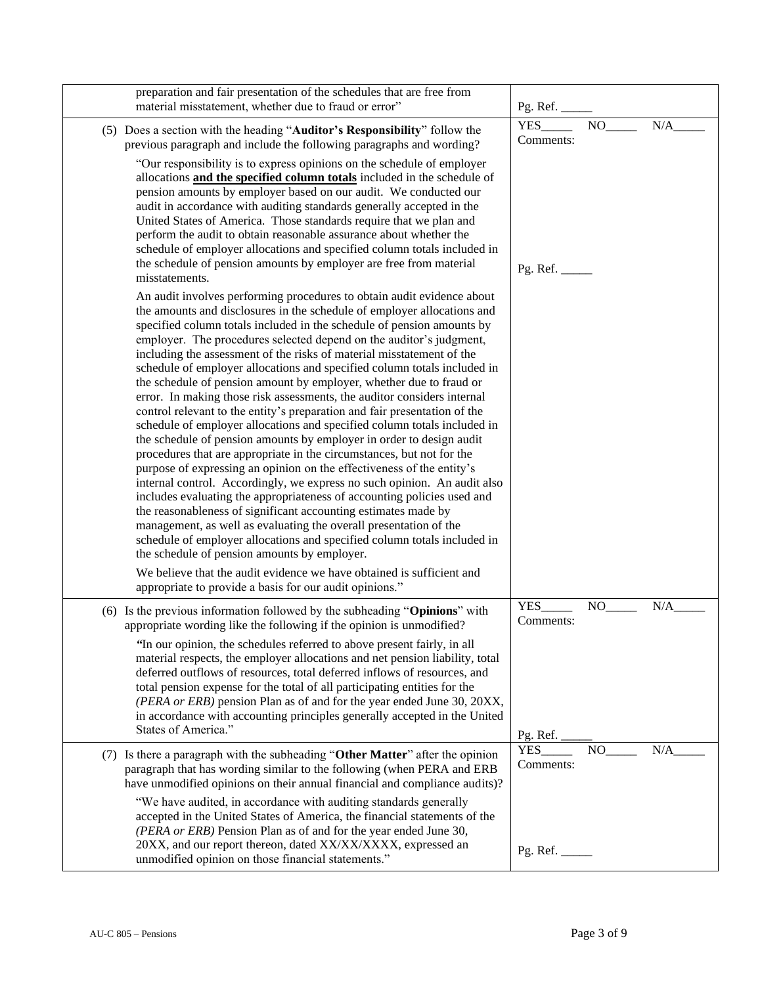| preparation and fair presentation of the schedules that are free from<br>material misstatement, whether due to fraud or error"                                                                                                                                                                                                                                                                                                                                                                                                                                                                                                                                                                                                                                                                                                                                                                                                                                                                                                                                                                                                                                                                                                                                                                                                                                                                                                                                                                  | Pg. Ref.                |    |     |
|-------------------------------------------------------------------------------------------------------------------------------------------------------------------------------------------------------------------------------------------------------------------------------------------------------------------------------------------------------------------------------------------------------------------------------------------------------------------------------------------------------------------------------------------------------------------------------------------------------------------------------------------------------------------------------------------------------------------------------------------------------------------------------------------------------------------------------------------------------------------------------------------------------------------------------------------------------------------------------------------------------------------------------------------------------------------------------------------------------------------------------------------------------------------------------------------------------------------------------------------------------------------------------------------------------------------------------------------------------------------------------------------------------------------------------------------------------------------------------------------------|-------------------------|----|-----|
| (5) Does a section with the heading "Auditor's Responsibility" follow the<br>previous paragraph and include the following paragraphs and wording?                                                                                                                                                                                                                                                                                                                                                                                                                                                                                                                                                                                                                                                                                                                                                                                                                                                                                                                                                                                                                                                                                                                                                                                                                                                                                                                                               | <b>YES</b><br>Comments: | NO | N/A |
| "Our responsibility is to express opinions on the schedule of employer<br>allocations and the specified column totals included in the schedule of<br>pension amounts by employer based on our audit. We conducted our<br>audit in accordance with auditing standards generally accepted in the<br>United States of America. Those standards require that we plan and<br>perform the audit to obtain reasonable assurance about whether the<br>schedule of employer allocations and specified column totals included in<br>the schedule of pension amounts by employer are free from material<br>misstatements.                                                                                                                                                                                                                                                                                                                                                                                                                                                                                                                                                                                                                                                                                                                                                                                                                                                                                  | Pg. Ref.                |    |     |
| An audit involves performing procedures to obtain audit evidence about<br>the amounts and disclosures in the schedule of employer allocations and<br>specified column totals included in the schedule of pension amounts by<br>employer. The procedures selected depend on the auditor's judgment,<br>including the assessment of the risks of material misstatement of the<br>schedule of employer allocations and specified column totals included in<br>the schedule of pension amount by employer, whether due to fraud or<br>error. In making those risk assessments, the auditor considers internal<br>control relevant to the entity's preparation and fair presentation of the<br>schedule of employer allocations and specified column totals included in<br>the schedule of pension amounts by employer in order to design audit<br>procedures that are appropriate in the circumstances, but not for the<br>purpose of expressing an opinion on the effectiveness of the entity's<br>internal control. Accordingly, we express no such opinion. An audit also<br>includes evaluating the appropriateness of accounting policies used and<br>the reasonableness of significant accounting estimates made by<br>management, as well as evaluating the overall presentation of the<br>schedule of employer allocations and specified column totals included in<br>the schedule of pension amounts by employer.<br>We believe that the audit evidence we have obtained is sufficient and |                         |    |     |
| appropriate to provide a basis for our audit opinions."<br>(6) Is the previous information followed by the subheading "Opinions" with                                                                                                                                                                                                                                                                                                                                                                                                                                                                                                                                                                                                                                                                                                                                                                                                                                                                                                                                                                                                                                                                                                                                                                                                                                                                                                                                                           | <b>YES</b>              | NO | N/A |
| appropriate wording like the following if the opinion is unmodified?<br>"In our opinion, the schedules referred to above present fairly, in all<br>material respects, the employer allocations and net pension liability, total<br>deferred outflows of resources, total deferred inflows of resources, and<br>total pension expense for the total of all participating entities for the<br>(PERA or ERB) pension Plan as of and for the year ended June 30, 20XX,<br>in accordance with accounting principles generally accepted in the United<br>States of America."                                                                                                                                                                                                                                                                                                                                                                                                                                                                                                                                                                                                                                                                                                                                                                                                                                                                                                                          | Comments:<br>Pg. Ref.   |    |     |
| (7) Is there a paragraph with the subheading "Other Matter" after the opinion<br>paragraph that has wording similar to the following (when PERA and ERB<br>have unmodified opinions on their annual financial and compliance audits)?                                                                                                                                                                                                                                                                                                                                                                                                                                                                                                                                                                                                                                                                                                                                                                                                                                                                                                                                                                                                                                                                                                                                                                                                                                                           | <b>YES</b><br>Comments: | NO | N/A |
| "We have audited, in accordance with auditing standards generally<br>accepted in the United States of America, the financial statements of the<br>(PERA or ERB) Pension Plan as of and for the year ended June 30,<br>20XX, and our report thereon, dated XX/XX/XXXX, expressed an<br>unmodified opinion on those financial statements."                                                                                                                                                                                                                                                                                                                                                                                                                                                                                                                                                                                                                                                                                                                                                                                                                                                                                                                                                                                                                                                                                                                                                        |                         |    |     |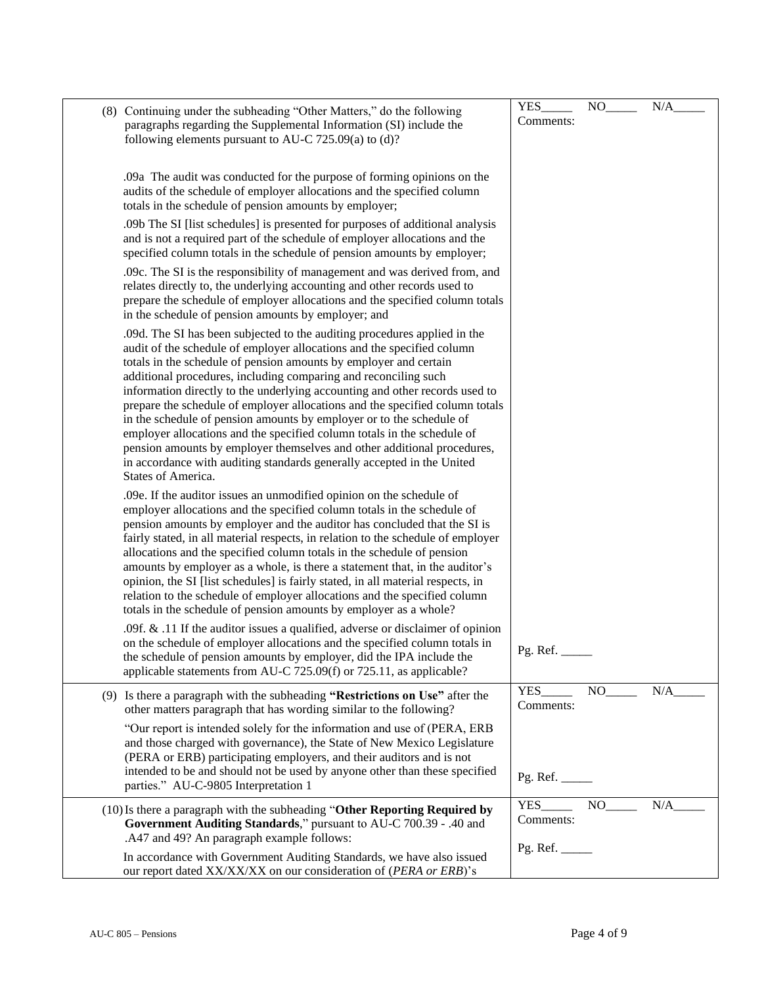| (8) Continuing under the subheading "Other Matters," do the following<br>paragraphs regarding the Supplemental Information (SI) include the<br>following elements pursuant to AU-C 725.09(a) to (d)?                                                                                                                                                                                                                                                                                                                                                                                                                                                                                                          | YES<br>Comments: | NO    | N/A |
|---------------------------------------------------------------------------------------------------------------------------------------------------------------------------------------------------------------------------------------------------------------------------------------------------------------------------------------------------------------------------------------------------------------------------------------------------------------------------------------------------------------------------------------------------------------------------------------------------------------------------------------------------------------------------------------------------------------|------------------|-------|-----|
| .09a The audit was conducted for the purpose of forming opinions on the<br>audits of the schedule of employer allocations and the specified column<br>totals in the schedule of pension amounts by employer;                                                                                                                                                                                                                                                                                                                                                                                                                                                                                                  |                  |       |     |
| .09b The SI [list schedules] is presented for purposes of additional analysis<br>and is not a required part of the schedule of employer allocations and the<br>specified column totals in the schedule of pension amounts by employer;                                                                                                                                                                                                                                                                                                                                                                                                                                                                        |                  |       |     |
| .09c. The SI is the responsibility of management and was derived from, and<br>relates directly to, the underlying accounting and other records used to<br>prepare the schedule of employer allocations and the specified column totals<br>in the schedule of pension amounts by employer; and                                                                                                                                                                                                                                                                                                                                                                                                                 |                  |       |     |
| .09d. The SI has been subjected to the auditing procedures applied in the<br>audit of the schedule of employer allocations and the specified column<br>totals in the schedule of pension amounts by employer and certain<br>additional procedures, including comparing and reconciling such<br>information directly to the underlying accounting and other records used to<br>prepare the schedule of employer allocations and the specified column totals<br>in the schedule of pension amounts by employer or to the schedule of                                                                                                                                                                            |                  |       |     |
| employer allocations and the specified column totals in the schedule of<br>pension amounts by employer themselves and other additional procedures,<br>in accordance with auditing standards generally accepted in the United<br>States of America.                                                                                                                                                                                                                                                                                                                                                                                                                                                            |                  |       |     |
| .09e. If the auditor issues an unmodified opinion on the schedule of<br>employer allocations and the specified column totals in the schedule of<br>pension amounts by employer and the auditor has concluded that the SI is<br>fairly stated, in all material respects, in relation to the schedule of employer<br>allocations and the specified column totals in the schedule of pension<br>amounts by employer as a whole, is there a statement that, in the auditor's<br>opinion, the SI [list schedules] is fairly stated, in all material respects, in<br>relation to the schedule of employer allocations and the specified column<br>totals in the schedule of pension amounts by employer as a whole? |                  |       |     |
| .09f. $\&$ .11 If the auditor issues a qualified, adverse or disclaimer of opinion<br>on the schedule of employer allocations and the specified column totals in<br>the schedule of pension amounts by employer, did the IPA include the<br>applicable statements from AU-C 725.09(f) or 725.11, as applicable?                                                                                                                                                                                                                                                                                                                                                                                               | Pg. Ref. $\_\_$  |       |     |
| (9) Is there a paragraph with the subheading "Restrictions on Use" after the<br>other matters paragraph that has wording similar to the following?                                                                                                                                                                                                                                                                                                                                                                                                                                                                                                                                                            | YES<br>Comments: | NO.   | N/A |
| "Our report is intended solely for the information and use of (PERA, ERB<br>and those charged with governance), the State of New Mexico Legislature<br>(PERA or ERB) participating employers, and their auditors and is not<br>intended to be and should not be used by anyone other than these specified<br>parties." AU-C-9805 Interpretation 1                                                                                                                                                                                                                                                                                                                                                             | Pg. Ref.         |       |     |
| (10) Is there a paragraph with the subheading "Other Reporting Required by<br>Government Auditing Standards," pursuant to AU-C 700.39 - .40 and<br>.A47 and 49? An paragraph example follows:                                                                                                                                                                                                                                                                                                                                                                                                                                                                                                                 | YES<br>Comments: | $NO_$ | N/A |
| In accordance with Government Auditing Standards, we have also issued<br>our report dated XX/XX/XX on our consideration of (PERA or ERB)'s                                                                                                                                                                                                                                                                                                                                                                                                                                                                                                                                                                    | Pg. Ref.         |       |     |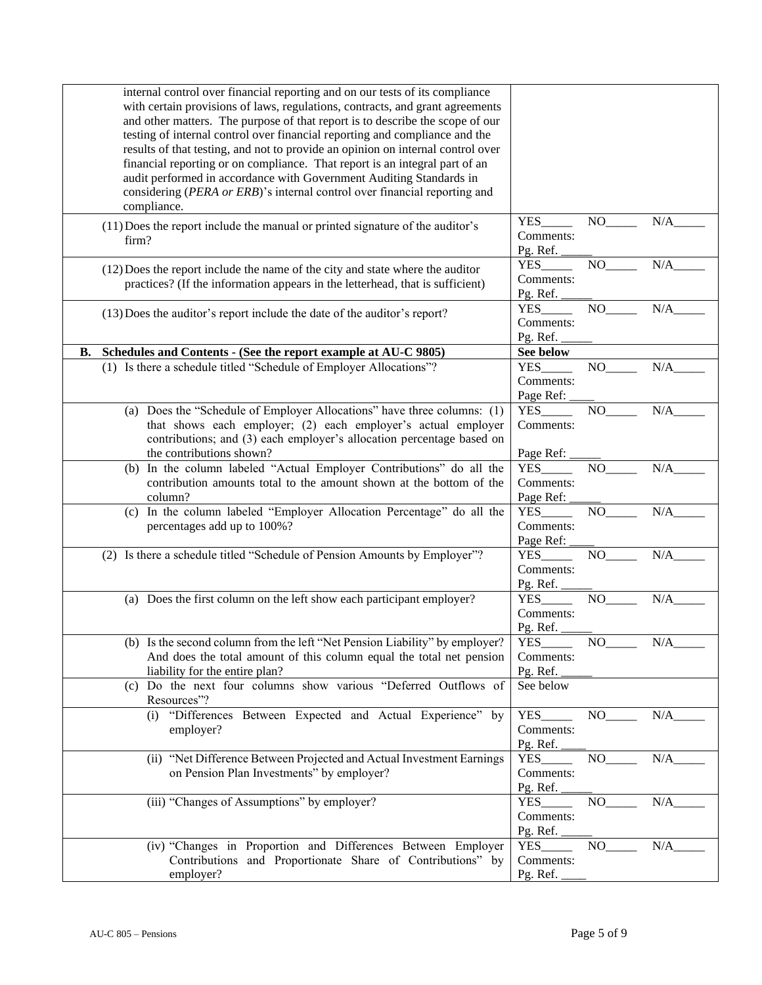| internal control over financial reporting and on our tests of its compliance<br>with certain provisions of laws, regulations, contracts, and grant agreements<br>and other matters. The purpose of that report is to describe the scope of our<br>testing of internal control over financial reporting and compliance and the<br>results of that testing, and not to provide an opinion on internal control over<br>financial reporting or on compliance. That report is an integral part of an<br>audit performed in accordance with Government Auditing Standards in<br>considering (PERA or ERB)'s internal control over financial reporting and<br>compliance. |                                      |          |     |
|--------------------------------------------------------------------------------------------------------------------------------------------------------------------------------------------------------------------------------------------------------------------------------------------------------------------------------------------------------------------------------------------------------------------------------------------------------------------------------------------------------------------------------------------------------------------------------------------------------------------------------------------------------------------|--------------------------------------|----------|-----|
| (11) Does the report include the manual or printed signature of the auditor's<br>firm?                                                                                                                                                                                                                                                                                                                                                                                                                                                                                                                                                                             | <b>YES</b><br>Comments:<br>Pg. Ref.  | NO.      | N/A |
| $(12)$ Does the report include the name of the city and state where the auditor<br>practices? (If the information appears in the letterhead, that is sufficient)                                                                                                                                                                                                                                                                                                                                                                                                                                                                                                   | <b>YES</b><br>Comments:<br>Pg. Ref.  | NO.      | N/A |
| (13) Does the auditor's report include the date of the auditor's report?                                                                                                                                                                                                                                                                                                                                                                                                                                                                                                                                                                                           | <b>YES</b><br>Comments:<br>Pg. Ref.  | NO.      | N/A |
| Schedules and Contents - (See the report example at AU-C 9805)<br>В.                                                                                                                                                                                                                                                                                                                                                                                                                                                                                                                                                                                               | See below                            |          |     |
| (1) Is there a schedule titled "Schedule of Employer Allocations"?                                                                                                                                                                                                                                                                                                                                                                                                                                                                                                                                                                                                 | <b>YES</b><br>Comments:<br>Page Ref: | NO.      | N/A |
| (a) Does the "Schedule of Employer Allocations" have three columns: (1)                                                                                                                                                                                                                                                                                                                                                                                                                                                                                                                                                                                            | <b>YES</b>                           | NO       | N/A |
| that shows each employer; (2) each employer's actual employer<br>contributions; and (3) each employer's allocation percentage based on<br>the contributions shown?                                                                                                                                                                                                                                                                                                                                                                                                                                                                                                 | Comments:<br>Page Ref:               |          |     |
| (b) In the column labeled "Actual Employer Contributions" do all the                                                                                                                                                                                                                                                                                                                                                                                                                                                                                                                                                                                               | <b>YES</b>                           | NO       | N/A |
| contribution amounts total to the amount shown at the bottom of the<br>column?                                                                                                                                                                                                                                                                                                                                                                                                                                                                                                                                                                                     | Comments:<br>Page Ref:               |          |     |
| (c) In the column labeled "Employer Allocation Percentage" do all the                                                                                                                                                                                                                                                                                                                                                                                                                                                                                                                                                                                              | <b>YES</b>                           | NO       | N/A |
| percentages add up to 100%?                                                                                                                                                                                                                                                                                                                                                                                                                                                                                                                                                                                                                                        | Comments:<br>Page Ref:               |          |     |
| (2) Is there a schedule titled "Schedule of Pension Amounts by Employer"?                                                                                                                                                                                                                                                                                                                                                                                                                                                                                                                                                                                          | <b>YES</b><br>Comments:<br>Pg. Ref.  | NO.      | N/A |
| (a) Does the first column on the left show each participant employer?                                                                                                                                                                                                                                                                                                                                                                                                                                                                                                                                                                                              | <b>YES</b><br>Comments:              | NO.      | N/A |
|                                                                                                                                                                                                                                                                                                                                                                                                                                                                                                                                                                                                                                                                    | Pg. Ref.                             |          |     |
| (b) Is the second column from the left "Net Pension Liability" by employer?<br>And does the total amount of this column equal the total net pension<br>liability for the entire plan?                                                                                                                                                                                                                                                                                                                                                                                                                                                                              | YES<br>Comments:<br>Pg. Ref.         |          | N/A |
| (c) Do the next four columns show various "Deferred Outflows of<br>Resources"?                                                                                                                                                                                                                                                                                                                                                                                                                                                                                                                                                                                     | See below                            |          |     |
| (i) "Differences Between Expected and Actual Experience" by                                                                                                                                                                                                                                                                                                                                                                                                                                                                                                                                                                                                        | <b>YES</b>                           | NO       | N/A |
| employer?                                                                                                                                                                                                                                                                                                                                                                                                                                                                                                                                                                                                                                                          | Comments:<br>Pg. Ref.                |          |     |
| (ii) "Net Difference Between Projected and Actual Investment Earnings<br>on Pension Plan Investments" by employer?                                                                                                                                                                                                                                                                                                                                                                                                                                                                                                                                                 | <b>YES</b><br>Comments:<br>Pg. Ref.  | NO       | N/A |
| (iii) "Changes of Assumptions" by employer?                                                                                                                                                                                                                                                                                                                                                                                                                                                                                                                                                                                                                        | <b>YES</b><br>Comments:<br>Pg. Ref.  | $NO_{-}$ | N/A |
| (iv) "Changes in Proportion and Differences Between Employer                                                                                                                                                                                                                                                                                                                                                                                                                                                                                                                                                                                                       | <b>YES</b>                           | NO       | N/A |
| Contributions and Proportionate Share of Contributions" by<br>employer?                                                                                                                                                                                                                                                                                                                                                                                                                                                                                                                                                                                            | Comments:<br>Pg. Ref.                |          |     |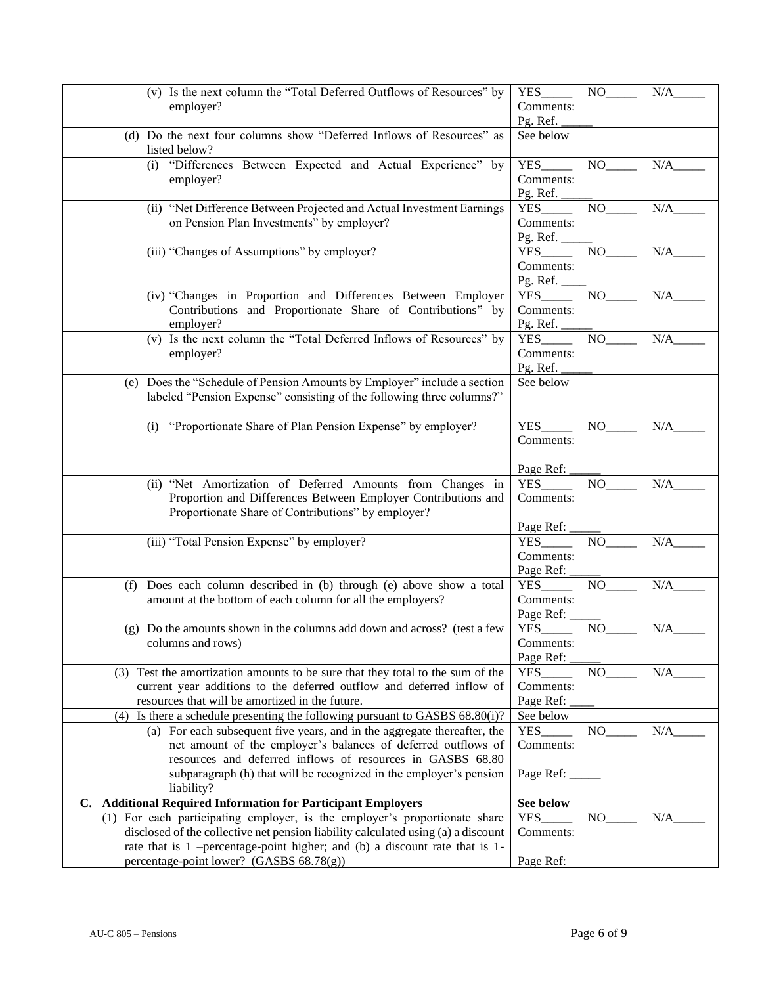| (v) Is the next column the "Total Deferred Outflows of Resources" by               | <b>YES</b>      | NO    | N/A |
|------------------------------------------------------------------------------------|-----------------|-------|-----|
| employer?                                                                          | Comments:       |       |     |
|                                                                                    | Pg. Ref.        |       |     |
| (d) Do the next four columns show "Deferred Inflows of Resources" as               | See below       |       |     |
| listed below?                                                                      |                 |       |     |
| (i) "Differences Between Expected and Actual Experience" by                        | YES             | NO    | N/A |
| employer?                                                                          | Comments:       |       |     |
|                                                                                    | Pg. Ref.        |       |     |
| (ii) "Net Difference Between Projected and Actual Investment Earnings              | <b>YES</b>      | NO    | N/A |
| on Pension Plan Investments" by employer?                                          | Comments:       |       |     |
|                                                                                    | Pg. Ref.        |       |     |
| (iii) "Changes of Assumptions" by employer?                                        | <b>YES</b>      | NO    | N/A |
|                                                                                    | Comments:       |       |     |
|                                                                                    | Pg. Ref.        |       |     |
| (iv) "Changes in Proportion and Differences Between Employer                       | <b>YES</b>      | NO    | N/A |
| Contributions and Proportionate Share of Contributions" by                         | Comments:       |       |     |
| employer?                                                                          | Pg. Ref.        |       |     |
| (v) Is the next column the "Total Deferred Inflows of Resources" by                | <b>YES</b>      | NO    | N/A |
| employer?                                                                          | Comments:       |       |     |
|                                                                                    | Pg. Ref.        |       |     |
| (e) Does the "Schedule of Pension Amounts by Employer" include a section           | See below       |       |     |
|                                                                                    |                 |       |     |
| labeled "Pension Expense" consisting of the following three columns?"              |                 |       |     |
|                                                                                    |                 |       |     |
| "Proportionate Share of Plan Pension Expense" by employer?<br>(i)                  | <b>YES</b>      | NO    | N/A |
|                                                                                    | Comments:       |       |     |
|                                                                                    |                 |       |     |
|                                                                                    | Page Ref:       |       |     |
| (ii) "Net Amortization of Deferred Amounts from Changes in                         | <b>YES</b>      | NO    | N/A |
| Proportion and Differences Between Employer Contributions and                      | Comments:       |       |     |
| Proportionate Share of Contributions" by employer?                                 |                 |       |     |
|                                                                                    | Page Ref:       |       |     |
| (iii) "Total Pension Expense" by employer?                                         | <b>YES</b>      | NO    | N/A |
|                                                                                    | Comments:       |       |     |
|                                                                                    | Page Ref:       |       |     |
| (f) Does each column described in (b) through (e) above show a total               | <b>YES</b>      | NO    | N/A |
| amount at the bottom of each column for all the employers?                         | Comments:       |       |     |
|                                                                                    | Page Ref:       |       |     |
| (g) Do the amounts shown in the columns add down and across? (test a few           | <b>YES</b>      | NO    | N/A |
| columns and rows)                                                                  | Comments:       |       |     |
|                                                                                    | Page Ref:       |       |     |
| (3) Test the amortization amounts to be sure that they total to the sum of the     | YES.            | NO    | N/A |
| current year additions to the deferred outflow and deferred inflow of              | Comments:       |       |     |
| resources that will be amortized in the future.                                    | Page Ref:       |       |     |
| Is there a schedule presenting the following pursuant to GASBS 68.80(i)?<br>(4)    | See below       |       |     |
| (a) For each subsequent five years, and in the aggregate thereafter, the           | YES             | NO    | N/A |
| net amount of the employer's balances of deferred outflows of                      | Comments:       |       |     |
| resources and deferred inflows of resources in GASBS 68.80                         |                 |       |     |
| subparagraph (h) that will be recognized in the employer's pension                 | Page Ref: _____ |       |     |
| liability?                                                                         |                 |       |     |
| <b>Additional Required Information for Participant Employers</b><br>$\mathbf{C}$ . | See below       |       |     |
| (1) For each participating employer, is the employer's proportionate share         | YES             | $NO_$ | N/A |
| disclosed of the collective net pension liability calculated using (a) a discount  | Comments:       |       |     |
| rate that is 1 -percentage-point higher; and (b) a discount rate that is 1-        |                 |       |     |
| percentage-point lower? (GASBS 68.78(g))                                           | Page Ref:       |       |     |
|                                                                                    |                 |       |     |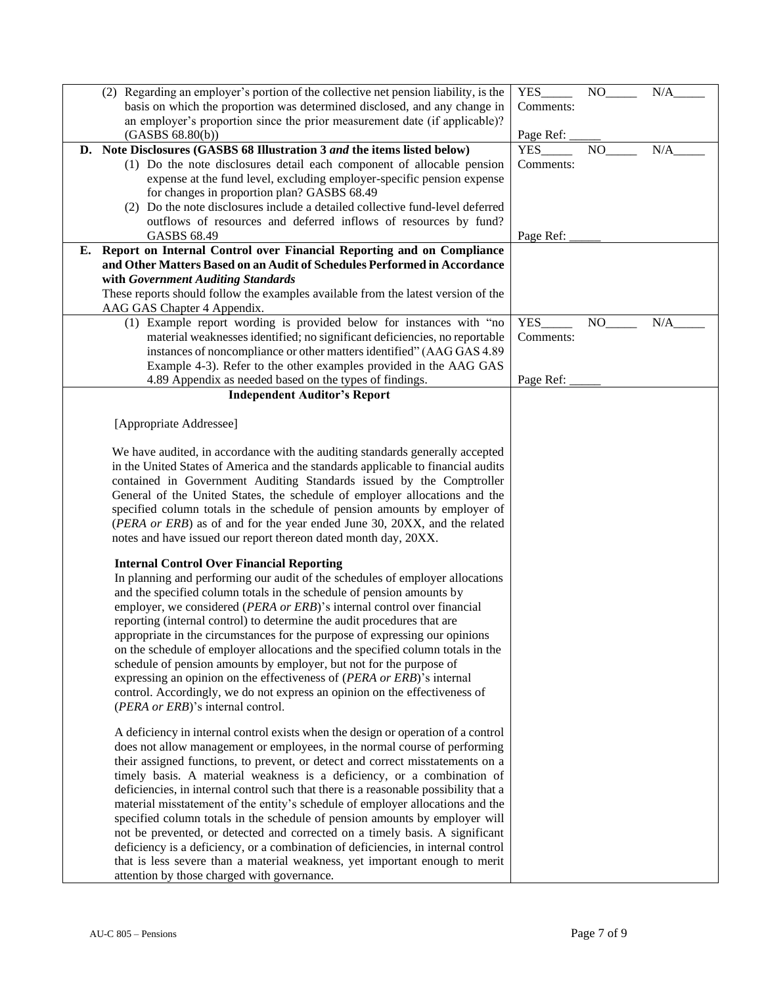| (2) Regarding an employer's portion of the collective net pension liability, is the  | YES        | NO  | N/A |
|--------------------------------------------------------------------------------------|------------|-----|-----|
| basis on which the proportion was determined disclosed, and any change in            | Comments:  |     |     |
|                                                                                      |            |     |     |
| an employer's proportion since the prior measurement date (if applicable)?           |            |     |     |
| (GASBS 68.80(b))                                                                     | Page Ref:  |     |     |
| D. Note Disclosures (GASBS 68 Illustration 3 and the items listed below)             | <b>YES</b> | NO  | N/A |
| (1) Do the note disclosures detail each component of allocable pension               | Comments:  |     |     |
| expense at the fund level, excluding employer-specific pension expense               |            |     |     |
| for changes in proportion plan? GASBS 68.49                                          |            |     |     |
| (2) Do the note disclosures include a detailed collective fund-level deferred        |            |     |     |
| outflows of resources and deferred inflows of resources by fund?                     |            |     |     |
| <b>GASBS 68.49</b>                                                                   | Page Ref:  |     |     |
| E. Report on Internal Control over Financial Reporting and on Compliance             |            |     |     |
| and Other Matters Based on an Audit of Schedules Performed in Accordance             |            |     |     |
| with Government Auditing Standards                                                   |            |     |     |
| These reports should follow the examples available from the latest version of the    |            |     |     |
| AAG GAS Chapter 4 Appendix.                                                          |            |     |     |
| (1) Example report wording is provided below for instances with "no                  | YES        | NO. | N/A |
| material weaknesses identified; no significant deficiencies, no reportable           | Comments:  |     |     |
| instances of noncompliance or other matters identified" (AAG GAS 4.89                |            |     |     |
| Example 4-3). Refer to the other examples provided in the AAG GAS                    |            |     |     |
|                                                                                      |            |     |     |
| 4.89 Appendix as needed based on the types of findings.                              | Page Ref:  |     |     |
| <b>Independent Auditor's Report</b>                                                  |            |     |     |
|                                                                                      |            |     |     |
| [Appropriate Addressee]                                                              |            |     |     |
|                                                                                      |            |     |     |
| We have audited, in accordance with the auditing standards generally accepted        |            |     |     |
| in the United States of America and the standards applicable to financial audits     |            |     |     |
| contained in Government Auditing Standards issued by the Comptroller                 |            |     |     |
| General of the United States, the schedule of employer allocations and the           |            |     |     |
| specified column totals in the schedule of pension amounts by employer of            |            |     |     |
| (PERA or ERB) as of and for the year ended June 30, 20XX, and the related            |            |     |     |
| notes and have issued our report thereon dated month day, 20XX.                      |            |     |     |
|                                                                                      |            |     |     |
| <b>Internal Control Over Financial Reporting</b>                                     |            |     |     |
| In planning and performing our audit of the schedules of employer allocations        |            |     |     |
| and the specified column totals in the schedule of pension amounts by                |            |     |     |
| employer, we considered (PERA or ERB)'s internal control over financial              |            |     |     |
| reporting (internal control) to determine the audit procedures that are              |            |     |     |
| appropriate in the circumstances for the purpose of expressing our opinions          |            |     |     |
| on the schedule of employer allocations and the specified column totals in the       |            |     |     |
| schedule of pension amounts by employer, but not for the purpose of                  |            |     |     |
| expressing an opinion on the effectiveness of (PERA or ERB)'s internal               |            |     |     |
| control. Accordingly, we do not express an opinion on the effectiveness of           |            |     |     |
|                                                                                      |            |     |     |
| (PERA or ERB)'s internal control.                                                    |            |     |     |
| A deficiency in internal control exists when the design or operation of a control    |            |     |     |
| does not allow management or employees, in the normal course of performing           |            |     |     |
|                                                                                      |            |     |     |
| their assigned functions, to prevent, or detect and correct misstatements on a       |            |     |     |
| timely basis. A material weakness is a deficiency, or a combination of               |            |     |     |
| deficiencies, in internal control such that there is a reasonable possibility that a |            |     |     |
| material misstatement of the entity's schedule of employer allocations and the       |            |     |     |
| specified column totals in the schedule of pension amounts by employer will          |            |     |     |
| not be prevented, or detected and corrected on a timely basis. A significant         |            |     |     |
| deficiency is a deficiency, or a combination of deficiencies, in internal control    |            |     |     |
| that is less severe than a material weakness, yet important enough to merit          |            |     |     |
| attention by those charged with governance.                                          |            |     |     |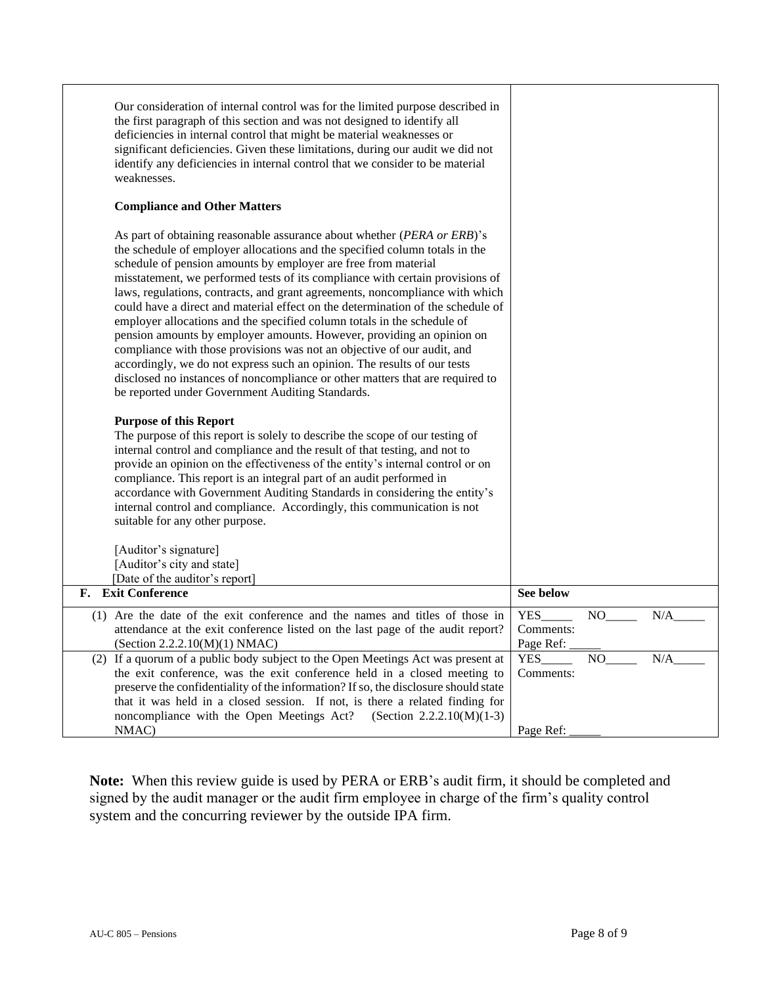| Our consideration of internal control was for the limited purpose described in<br>the first paragraph of this section and was not designed to identify all<br>deficiencies in internal control that might be material weaknesses or<br>significant deficiencies. Given these limitations, during our audit we did not<br>identify any deficiencies in internal control that we consider to be material<br>weaknesses.                                                                                                                                                                                                                                                                                                                                                                                                                                                                                                                                                                                                                                                                                                                                                                                                                                                                                                                                                                                                                                                                                                                                                     |                                      |     |     |
|---------------------------------------------------------------------------------------------------------------------------------------------------------------------------------------------------------------------------------------------------------------------------------------------------------------------------------------------------------------------------------------------------------------------------------------------------------------------------------------------------------------------------------------------------------------------------------------------------------------------------------------------------------------------------------------------------------------------------------------------------------------------------------------------------------------------------------------------------------------------------------------------------------------------------------------------------------------------------------------------------------------------------------------------------------------------------------------------------------------------------------------------------------------------------------------------------------------------------------------------------------------------------------------------------------------------------------------------------------------------------------------------------------------------------------------------------------------------------------------------------------------------------------------------------------------------------|--------------------------------------|-----|-----|
| <b>Compliance and Other Matters</b>                                                                                                                                                                                                                                                                                                                                                                                                                                                                                                                                                                                                                                                                                                                                                                                                                                                                                                                                                                                                                                                                                                                                                                                                                                                                                                                                                                                                                                                                                                                                       |                                      |     |     |
| As part of obtaining reasonable assurance about whether (PERA or ERB)'s<br>the schedule of employer allocations and the specified column totals in the<br>schedule of pension amounts by employer are free from material<br>misstatement, we performed tests of its compliance with certain provisions of<br>laws, regulations, contracts, and grant agreements, noncompliance with which<br>could have a direct and material effect on the determination of the schedule of<br>employer allocations and the specified column totals in the schedule of<br>pension amounts by employer amounts. However, providing an opinion on<br>compliance with those provisions was not an objective of our audit, and<br>accordingly, we do not express such an opinion. The results of our tests<br>disclosed no instances of noncompliance or other matters that are required to<br>be reported under Government Auditing Standards.<br><b>Purpose of this Report</b><br>The purpose of this report is solely to describe the scope of our testing of<br>internal control and compliance and the result of that testing, and not to<br>provide an opinion on the effectiveness of the entity's internal control or on<br>compliance. This report is an integral part of an audit performed in<br>accordance with Government Auditing Standards in considering the entity's<br>internal control and compliance. Accordingly, this communication is not<br>suitable for any other purpose.<br>[Auditor's signature]<br>[Auditor's city and state]<br>[Date of the auditor's report] |                                      |     |     |
| F. Exit Conference                                                                                                                                                                                                                                                                                                                                                                                                                                                                                                                                                                                                                                                                                                                                                                                                                                                                                                                                                                                                                                                                                                                                                                                                                                                                                                                                                                                                                                                                                                                                                        | See below                            |     |     |
| (1) Are the date of the exit conference and the names and titles of those in<br>attendance at the exit conference listed on the last page of the audit report?<br>(Section 2.2.2.10(M)(1) NMAC)                                                                                                                                                                                                                                                                                                                                                                                                                                                                                                                                                                                                                                                                                                                                                                                                                                                                                                                                                                                                                                                                                                                                                                                                                                                                                                                                                                           | <b>YES</b><br>Comments:<br>Page Ref: |     | N/A |
| (2) If a quorum of a public body subject to the Open Meetings Act was present at<br>the exit conference, was the exit conference held in a closed meeting to<br>preserve the confidentiality of the information? If so, the disclosure should state<br>that it was held in a closed session. If not, is there a related finding for<br>(Section $2.2.2.10(M)(1-3)$ )<br>noncompliance with the Open Meetings Act?<br>NMAC)                                                                                                                                                                                                                                                                                                                                                                                                                                                                                                                                                                                                                                                                                                                                                                                                                                                                                                                                                                                                                                                                                                                                                | YES<br>Comments:<br>Page Ref:        | NO. | N/A |

**Note:** When this review guide is used by PERA or ERB's audit firm, it should be completed and signed by the audit manager or the audit firm employee in charge of the firm's quality control system and the concurring reviewer by the outside IPA firm.